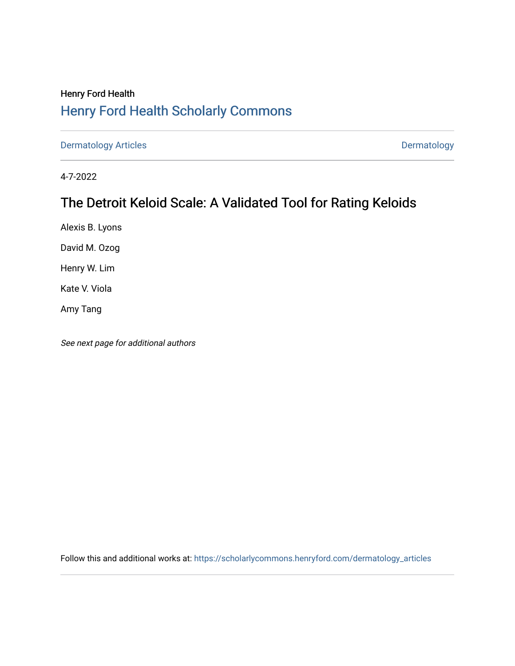## Henry Ford Health [Henry Ford Health Scholarly Commons](https://scholarlycommons.henryford.com/)

[Dermatology Articles](https://scholarlycommons.henryford.com/dermatology_articles) **Dermatology** 

4-7-2022

## The Detroit Keloid Scale: A Validated Tool for Rating Keloids

Alexis B. Lyons

David M. Ozog

Henry W. Lim

Kate V. Viola

Amy Tang

See next page for additional authors

Follow this and additional works at: [https://scholarlycommons.henryford.com/dermatology\\_articles](https://scholarlycommons.henryford.com/dermatology_articles?utm_source=scholarlycommons.henryford.com%2Fdermatology_articles%2F672&utm_medium=PDF&utm_campaign=PDFCoverPages)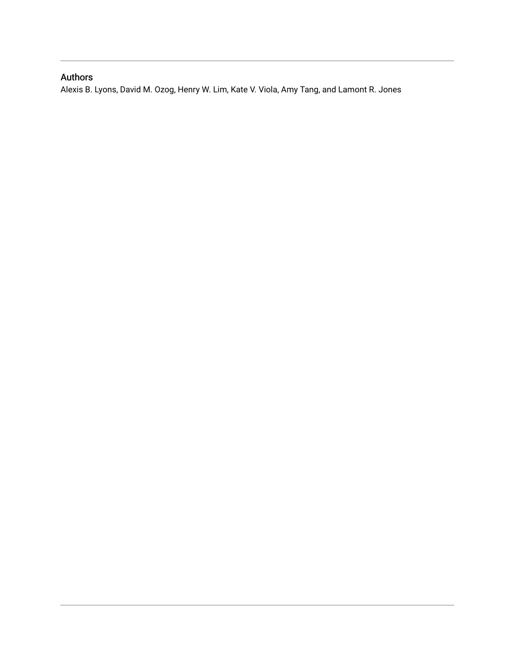### Authors

Alexis B. Lyons, David M. Ozog, Henry W. Lim, Kate V. Viola, Amy Tang, and Lamont R. Jones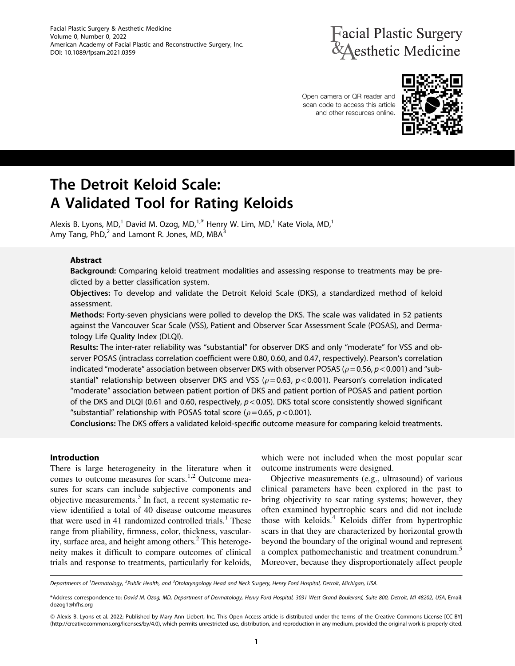Facial Plastic Surgery & Aesthetic Medicine Volume 0, Number 0, 2022 American Academy of Facial Plastic and Reconstructive Surgery, Inc. DOI: 10.1089/fpsam.2021.0359

# **Tacial Plastic Surgery Aesthetic Medicine**

Open camera or QR reader and scan code to access this article and other resources online.



# The Detroit Keloid Scale: A Validated Tool for Rating Keloids

Alexis B. Lyons, MD,<sup>1</sup> David M. Ozog, MD,<sup>1,\*</sup> Henry W. Lim, MD,<sup>1</sup> Kate Viola, MD,<sup>1</sup> Amy Tang,  $PhD<sub>1</sub><sup>2</sup>$  and Lamont R. Jones, MD, MBA $<sup>3</sup>$ </sup>

#### Abstract

Background: Comparing keloid treatment modalities and assessing response to treatments may be predicted by a better classification system.

Objectives: To develop and validate the Detroit Keloid Scale (DKS), a standardized method of keloid assessment.

Methods: Forty-seven physicians were polled to develop the DKS. The scale was validated in 52 patients against the Vancouver Scar Scale (VSS), Patient and Observer Scar Assessment Scale (POSAS), and Dermatology Life Quality Index (DLQI).

Results: The inter-rater reliability was ''substantial'' for observer DKS and only ''moderate'' for VSS and observer POSAS (intraclass correlation coefficient were 0.80, 0.60, and 0.47, respectively). Pearson's correlation indicated "moderate" association between observer DKS with observer POSAS ( $\rho$  = 0.56,  $p$  < 0.001) and "substantial" relationship between observer DKS and VSS ( $\rho$  = 0.63, p < 0.001). Pearson's correlation indicated ''moderate'' association between patient portion of DKS and patient portion of POSAS and patient portion of the DKS and DLQI (0.61 and 0.60, respectively,  $p < 0.05$ ). DKS total score consistently showed significant "substantial" relationship with POSAS total score ( $\rho = 0.65$ ,  $p < 0.001$ ).

Conclusions: The DKS offers a validated keloid-specific outcome measure for comparing keloid treatments.

#### Introduction

There is large heterogeneity in the literature when it comes to outcome measures for scars.<sup>1,2</sup> Outcome measures for scars can include subjective components and objective measurements.3 In fact, a recent systematic review identified a total of 40 disease outcome measures that were used in 41 randomized controlled trials.<sup>1</sup> These range from pliability, firmness, color, thickness, vascularity, surface area, and height among others. $<sup>2</sup>$  This heteroge-</sup> neity makes it difficult to compare outcomes of clinical trials and response to treatments, particularly for keloids, which were not included when the most popular scar outcome instruments were designed.

Objective measurements (e.g., ultrasound) of various clinical parameters have been explored in the past to bring objectivity to scar rating systems; however, they often examined hypertrophic scars and did not include those with keloids.<sup>4</sup> Keloids differ from hypertrophic scars in that they are characterized by horizontal growth beyond the boundary of the original wound and represent a complex pathomechanistic and treatment conundrum.<sup>5</sup> Moreover, because they disproportionately affect people

Departments of <sup>1</sup>Dermatology, <sup>2</sup>Public Health, and <sup>3</sup>Otolaryngology Head and Neck Surgery, Henry Ford Hospital, Detroit, Michigan, USA.

<sup>\*</sup>Address correspondence to: David M. Ozog, MD, Department of Dermatology, Henry Ford Hospital, 3031 West Grand Boulevard, Suite 800, Detroit, MI 48202, USA, Email: dozog1@hfhs.org

ª Alexis B. Lyons et al. 2022; Published by Mary Ann Liebert, Inc. This Open Access article is distributed under the terms of the Creative Commons License [CC-BY] (http://creativecommons.org/licenses/by/4.0), which permits unrestricted use, distribution, and reproduction in any medium, provided the original work is properly cited.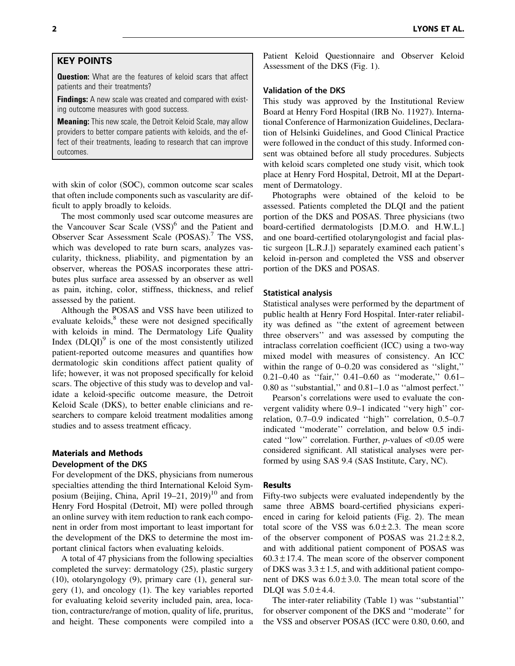#### KEY POINTS

**Question:** What are the features of keloid scars that affect patients and their treatments?

**Findings:** A new scale was created and compared with existing outcome measures with good success.

**Meaning:** This new scale, the Detroit Keloid Scale, may allow providers to better compare patients with keloids, and the effect of their treatments, leading to research that can improve outcomes.

with skin of color (SOC), common outcome scar scales that often include components such as vascularity are difficult to apply broadly to keloids.

The most commonly used scar outcome measures are the Vancouver Scar Scale (VSS)<sup>6</sup> and the Patient and Observer Scar Assessment Scale (POSAS).7 The VSS, which was developed to rate burn scars, analyzes vascularity, thickness, pliability, and pigmentation by an observer, whereas the POSAS incorporates these attributes plus surface area assessed by an observer as well as pain, itching, color, stiffness, thickness, and relief assessed by the patient.

Although the POSAS and VSS have been utilized to evaluate keloids, $<sup>8</sup>$  these were not designed specifically</sup> with keloids in mind. The Dermatology Life Quality Index  $(DLQI)^9$  is one of the most consistently utilized patient-reported outcome measures and quantifies how dermatologic skin conditions affect patient quality of life; however, it was not proposed specifically for keloid scars. The objective of this study was to develop and validate a keloid-specific outcome measure, the Detroit Keloid Scale (DKS), to better enable clinicians and researchers to compare keloid treatment modalities among studies and to assess treatment efficacy.

#### Materials and Methods Development of the DKS

For development of the DKS, physicians from numerous specialties attending the third International Keloid Symposium (Beijing, China, April 19–21, 2019)<sup>10</sup> and from Henry Ford Hospital (Detroit, MI) were polled through an online survey with item reduction to rank each component in order from most important to least important for the development of the DKS to determine the most important clinical factors when evaluating keloids.

A total of 47 physicians from the following specialties completed the survey: dermatology (25), plastic surgery (10), otolaryngology (9), primary care (1), general surgery (1), and oncology (1). The key variables reported for evaluating keloid severity included pain, area, location, contracture/range of motion, quality of life, pruritus, and height. These components were compiled into a Patient Keloid Questionnaire and Observer Keloid Assessment of the DKS (Fig. 1).

#### Validation of the DKS

This study was approved by the Institutional Review Board at Henry Ford Hospital (IRB No. 11927). International Conference of Harmonization Guidelines, Declaration of Helsinki Guidelines, and Good Clinical Practice were followed in the conduct of this study. Informed consent was obtained before all study procedures. Subjects with keloid scars completed one study visit, which took place at Henry Ford Hospital, Detroit, MI at the Department of Dermatology.

Photographs were obtained of the keloid to be assessed. Patients completed the DLQI and the patient portion of the DKS and POSAS. Three physicians (two board-certified dermatologists [D.M.O. and H.W.L.] and one board-certified otolaryngologist and facial plastic surgeon [L.R.J.]) separately examined each patient's keloid in-person and completed the VSS and observer portion of the DKS and POSAS.

#### Statistical analysis

Statistical analyses were performed by the department of public health at Henry Ford Hospital. Inter-rater reliability was defined as ''the extent of agreement between three observers'' and was assessed by computing the intraclass correlation coefficient (ICC) using a two-way mixed model with measures of consistency. An ICC within the range of 0–0.20 was considered as "slight," 0.21–0.40 as ''fair,'' 0.41–0.60 as ''moderate,'' 0.61– 0.80 as ''substantial,'' and 0.81–1.0 as ''almost perfect.''

Pearson's correlations were used to evaluate the convergent validity where 0.9–1 indicated ''very high'' correlation, 0.7–0.9 indicated ''high'' correlation, 0.5–0.7 indicated ''moderate'' correlation, and below 0.5 indicated ''low'' correlation. Further, *p*-values of <0.05 were considered significant. All statistical analyses were performed by using SAS 9.4 (SAS Institute, Cary, NC).

#### Results

Fifty-two subjects were evaluated independently by the same three ABMS board-certified physicians experienced in caring for keloid patients (Fig. 2). The mean total score of the VSS was  $6.0 \pm 2.3$ . The mean score of the observer component of POSAS was  $21.2 \pm 8.2$ , and with additional patient component of POSAS was  $60.3 \pm 17.4$ . The mean score of the observer component of DKS was  $3.3 \pm 1.5$ , and with additional patient component of DKS was  $6.0 \pm 3.0$ . The mean total score of the DLQI was  $5.0 \pm 4.4$ .

The inter-rater reliability (Table 1) was ''substantial'' for observer component of the DKS and ''moderate'' for the VSS and observer POSAS (ICC were 0.80, 0.60, and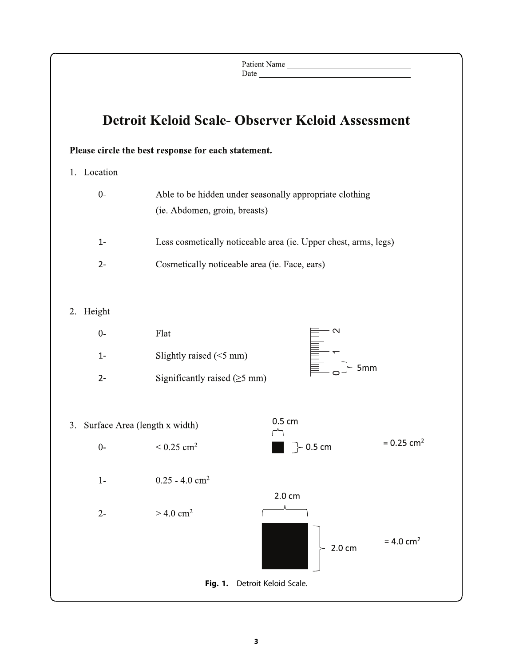|             |                                                                                          | Patient Name      |                          |
|-------------|------------------------------------------------------------------------------------------|-------------------|--------------------------|
|             | <b>Detroit Keloid Scale- Observer Keloid Assessment</b>                                  |                   |                          |
| 1. Location | Please circle the best response for each statement.                                      |                   |                          |
| $0-$        | Able to be hidden under seasonally appropriate clothing<br>(ie. Abdomen, groin, breasts) |                   |                          |
| $1 -$       | Less cosmetically noticeable area (ie. Upper chest, arms, legs)                          |                   |                          |
| $2 -$       | Cosmetically noticeable area (ie. Face, ears)                                            |                   |                          |
| 2. Height   |                                                                                          |                   |                          |
| $0-$        | Flat                                                                                     | $\mathbf{\Omega}$ |                          |
| $1 -$       | Slightly raised $(<5$ mm)                                                                |                   |                          |
| $2-$        | Significantly raised $(\geq 5$ mm)                                                       | $\vdash$ 5mm      |                          |
|             | 3. Surface Area (length x width)<br>Γ٦                                                   | 0.5 cm            |                          |
| $0-$        | $< 0.25$ cm <sup>2</sup>                                                                 | $\succ$ 0.5 cm    | $= 0.25$ cm <sup>2</sup> |
| $1 -$       | $0.25 - 4.0$ cm <sup>2</sup>                                                             |                   |                          |
| $2 -$       | $> 4.0$ cm <sup>2</sup>                                                                  | 2.0 cm            |                          |
|             |                                                                                          | 2.0 cm            | $= 4.0$ cm <sup>2</sup>  |
|             | Detroit Keloid Scale.<br><b>Fig. 1.</b>                                                  |                   |                          |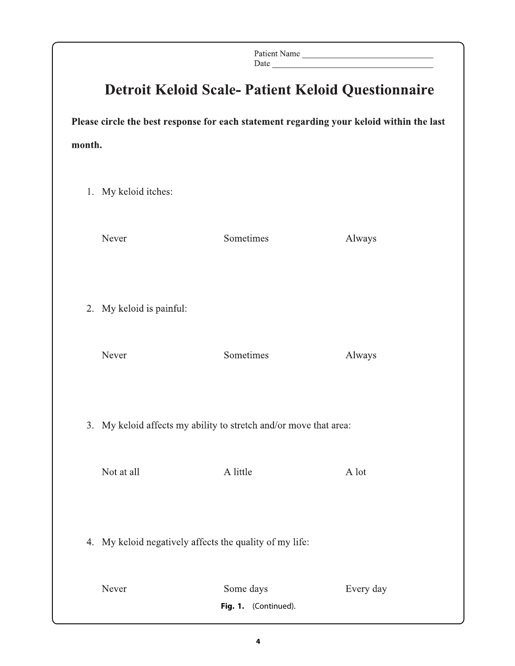|                                                                                          |                                                                   |                                   | Patient Name |  |  |  |  |  |
|------------------------------------------------------------------------------------------|-------------------------------------------------------------------|-----------------------------------|--------------|--|--|--|--|--|
| <b>Detroit Keloid Scale- Patient Keloid Questionnaire</b>                                |                                                                   |                                   |              |  |  |  |  |  |
| Please circle the best response for each statement regarding your keloid within the last |                                                                   |                                   |              |  |  |  |  |  |
| month.                                                                                   |                                                                   |                                   |              |  |  |  |  |  |
|                                                                                          | 1. My keloid itches:                                              |                                   |              |  |  |  |  |  |
|                                                                                          | Never                                                             | Sometimes                         | Always       |  |  |  |  |  |
|                                                                                          |                                                                   |                                   |              |  |  |  |  |  |
|                                                                                          | 2. My keloid is painful:                                          |                                   |              |  |  |  |  |  |
|                                                                                          | Never                                                             | Sometimes                         | Always       |  |  |  |  |  |
|                                                                                          |                                                                   |                                   |              |  |  |  |  |  |
|                                                                                          | 3. My keloid affects my ability to stretch and/or move that area: |                                   |              |  |  |  |  |  |
|                                                                                          | Not at all                                                        | A little                          | A lot        |  |  |  |  |  |
|                                                                                          |                                                                   |                                   |              |  |  |  |  |  |
|                                                                                          | 4. My keloid negatively affects the quality of my life:           |                                   |              |  |  |  |  |  |
|                                                                                          |                                                                   |                                   |              |  |  |  |  |  |
|                                                                                          | Never                                                             | Some days<br>Fig. 1. (Continued). | Every day    |  |  |  |  |  |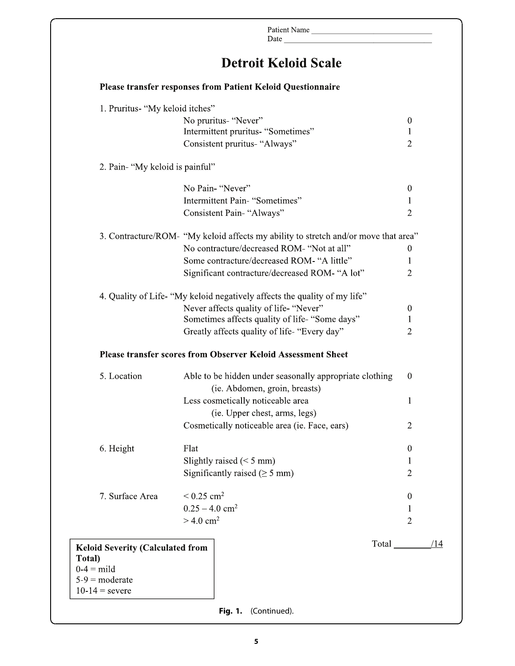|                                         |                                     | Patient Name                                                                             |                  |
|-----------------------------------------|-------------------------------------|------------------------------------------------------------------------------------------|------------------|
|                                         |                                     | <b>Detroit Keloid Scale</b>                                                              |                  |
|                                         |                                     | <b>Please transfer responses from Patient Keloid Questionnaire</b>                       |                  |
|                                         | 1. Pruritus- "My keloid itches"     |                                                                                          |                  |
|                                         | No pruritus- "Never"                |                                                                                          | $\theta$         |
|                                         |                                     | Intermittent pruritus- "Sometimes"                                                       | 1                |
|                                         | Consistent pruritus- "Always"       |                                                                                          | $\overline{2}$   |
| 2. Pain- "My keloid is painful"         |                                     |                                                                                          |                  |
|                                         | No Pain- "Never"                    |                                                                                          | $\overline{0}$   |
|                                         | Intermittent Pain- "Sometimes"      |                                                                                          | 1                |
|                                         | Consistent Pain-"Always"            |                                                                                          | $\overline{2}$   |
|                                         |                                     | 3. Contracture/ROM- "My keloid affects my ability to stretch and/or move that area"      |                  |
|                                         |                                     | No contracture/decreased ROM- "Not at all"                                               | $\mathbf{0}$     |
|                                         |                                     | Some contracture/decreased ROM- "A little"                                               | 1                |
|                                         |                                     | Significant contracture/decreased ROM- "A lot"                                           | $\overline{c}$   |
|                                         |                                     |                                                                                          |                  |
|                                         |                                     | 4. Quality of Life- "My keloid negatively affects the quality of my life"                |                  |
|                                         |                                     | Never affects quality of life- "Never"                                                   | $\boldsymbol{0}$ |
|                                         |                                     | Sometimes affects quality of life- "Some days"                                           | 1                |
|                                         |                                     | Greatly affects quality of life- "Every day"                                             | 2                |
|                                         |                                     | <b>Please transfer scores from Observer Keloid Assessment Sheet</b>                      |                  |
| 5. Location                             |                                     | Able to be hidden under seasonally appropriate clothing<br>(ie. Abdomen, groin, breasts) | $\mathbf 0$      |
|                                         | Less cosmetically noticeable area   |                                                                                          | 1                |
|                                         |                                     | (ie. Upper chest, arms, legs)                                                            |                  |
|                                         |                                     | Cosmetically noticeable area (ie. Face, ears)                                            | $\overline{2}$   |
| 6. Height                               | Flat                                |                                                                                          | $\theta$         |
|                                         | Slightly raised $(< 5$ mm)          |                                                                                          | 1                |
|                                         | Significantly raised ( $\geq$ 5 mm) |                                                                                          | 2                |
| 7. Surface Area                         | $< 0.25$ cm <sup>2</sup>            |                                                                                          | $\bf{0}$         |
|                                         | $0.25 - 4.0$ cm <sup>2</sup>        |                                                                                          | 1                |
|                                         | $>$ 4.0 cm <sup>2</sup>             |                                                                                          | 2                |
|                                         |                                     |                                                                                          |                  |
| <b>Keloid Severity (Calculated from</b> |                                     |                                                                                          | /14              |
| Total)<br>$0-4 =$ mild                  |                                     |                                                                                          |                  |
| $5-9$ = moderate                        |                                     |                                                                                          |                  |
|                                         |                                     |                                                                                          |                  |
| $10-14$ = severe                        |                                     |                                                                                          |                  |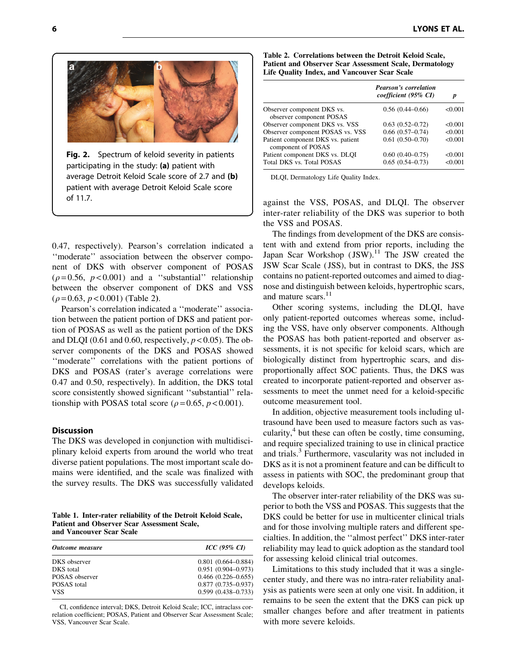

Fig. 2. Spectrum of keloid severity in patients participating in the study: (a) patient with average Detroit Keloid Scale score of 2.7 and (b) patient with average Detroit Keloid Scale score of 11.7.

0.47, respectively). Pearson's correlation indicated a ''moderate'' association between the observer component of DKS with observer component of POSAS  $(\rho = 0.56, p < 0.001)$  and a "substantial" relationship between the observer component of DKS and VSS  $(\rho = 0.63, p < 0.001)$  (Table 2).

Pearson's correlation indicated a ''moderate'' association between the patient portion of DKS and patient portion of POSAS as well as the patient portion of the DKS and DLQI (0.61 and 0.60, respectively,  $p < 0.05$ ). The observer components of the DKS and POSAS showed ''moderate'' correlations with the patient portions of DKS and POSAS (rater's average correlations were 0.47 and 0.50, respectively). In addition, the DKS total score consistently showed significant "substantial" relationship with POSAS total score ( $\rho$  = 0.65,  $p$  < 0.001).

#### **Discussion**

The DKS was developed in conjunction with multidisciplinary keloid experts from around the world who treat diverse patient populations. The most important scale domains were identified, and the scale was finalized with the survey results. The DKS was successfully validated

Table 1. Inter-rater reliability of the Detroit Keloid Scale, Patient and Observer Scar Assessment Scale, and Vancouver Scar Scale

| <b>Outcome</b> measure | $ICC(95\% CI)$         |  |  |
|------------------------|------------------------|--|--|
| DKS observer           | $0.801(0.664 - 0.884)$ |  |  |
| DKS total              | $0.951(0.904 - 0.973)$ |  |  |
| POSAS observer         | $0.466(0.226 - 0.655)$ |  |  |
| POSAS total            | $0.877(0.735 - 0.937)$ |  |  |
| <b>VSS</b>             | $0.599(0.438 - 0.733)$ |  |  |

CI, confidence interval; DKS, Detroit Keloid Scale; ICC, intraclass correlation coefficient; POSAS, Patient and Observer Scar Assessment Scale; VSS, Vancouver Scar Scale.

| Table 2. Correlations between the Detroit Keloid Scale,        |  |  |  |
|----------------------------------------------------------------|--|--|--|
| <b>Patient and Observer Scar Assessment Scale, Dermatology</b> |  |  |  |
| Life Quality Index, and Vancouver Scar Scale                   |  |  |  |

|                                                         | <b>Pearson's correlation</b><br>coefficient (95% CI) | p       |
|---------------------------------------------------------|------------------------------------------------------|---------|
| Observer component DKS vs.<br>observer component POSAS  | $0.56(0.44 - 0.66)$                                  | < 0.001 |
| Observer component DKS vs. VSS                          | $0.63(0.52 - 0.72)$                                  | < 0.001 |
| Observer component POSAS vs. VSS                        | $0.66(0.57-0.74)$                                    | < 0.001 |
| Patient component DKS vs. patient<br>component of POSAS | $0.61(0.50-0.70)$                                    | < 0.001 |
| Patient component DKS vs. DLOI                          | $0.60(0.40-0.75)$                                    | < 0.001 |
| Total DKS vs. Total POSAS                               | $0.65(0.54 - 0.73)$                                  | < 0.001 |

DLQI, Dermatology Life Quality Index.

against the VSS, POSAS, and DLQI. The observer inter-rater reliability of the DKS was superior to both the VSS and POSAS.

The findings from development of the DKS are consistent with and extend from prior reports, including the Japan Scar Workshop  $($  JSW $)$ .<sup>11</sup> The JSW created the JSW Scar Scale ( JSS), but in contrast to DKS, the JSS contains no patient-reported outcomes and aimed to diagnose and distinguish between keloids, hypertrophic scars, and mature scars.<sup>11</sup>

Other scoring systems, including the DLQI, have only patient-reported outcomes whereas some, including the VSS, have only observer components. Although the POSAS has both patient-reported and observer assessments, it is not specific for keloid scars, which are biologically distinct from hypertrophic scars, and disproportionally affect SOC patients. Thus, the DKS was created to incorporate patient-reported and observer assessments to meet the unmet need for a keloid-specific outcome measurement tool.

In addition, objective measurement tools including ultrasound have been used to measure factors such as vascularity, $4$  but these can often be costly, time consuming, and require specialized training to use in clinical practice and trials.<sup>3</sup> Furthermore, vascularity was not included in DKS as it is not a prominent feature and can be difficult to assess in patients with SOC, the predominant group that develops keloids.

The observer inter-rater reliability of the DKS was superior to both the VSS and POSAS. This suggests that the DKS could be better for use in multicenter clinical trials and for those involving multiple raters and different specialties. In addition, the ''almost perfect'' DKS inter-rater reliability may lead to quick adoption as the standard tool for assessing keloid clinical trial outcomes.

Limitations to this study included that it was a singlecenter study, and there was no intra-rater reliability analysis as patients were seen at only one visit. In addition, it remains to be seen the extent that the DKS can pick up smaller changes before and after treatment in patients with more severe keloids.